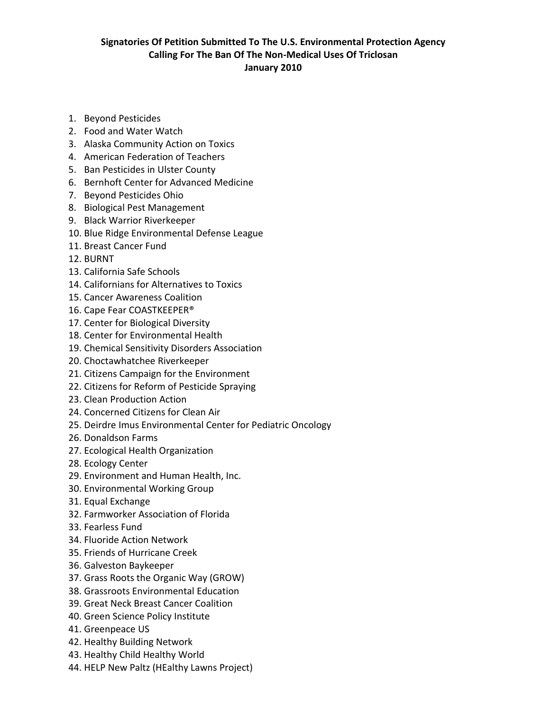## **Signatories Of Petition Submitted To The U.S. Environmental Protection Agency Calling For The Ban Of The Non-Medical Uses Of Triclosan January 2010**

- 1. Beyond Pesticides
- 2. Food and Water Watch
- 3. Alaska Community Action on Toxics
- 4. American Federation of Teachers
- 5. Ban Pesticides in Ulster County
- 6. Bernhoft Center for Advanced Medicine
- 7. Beyond Pesticides Ohio
- 8. Biological Pest Management
- 9. Black Warrior Riverkeeper
- 10. Blue Ridge Environmental Defense League
- 11. Breast Cancer Fund
- 12. BURNT
- 13. California Safe Schools
- 14. Californians for Alternatives to Toxics
- 15. Cancer Awareness Coalition
- 16. Cape Fear COASTKEEPER®
- 17. Center for Biological Diversity
- 18. Center for Environmental Health
- 19. Chemical Sensitivity Disorders Association
- 20. Choctawhatchee Riverkeeper
- 21. Citizens Campaign for the Environment
- 22. Citizens for Reform of Pesticide Spraying
- 23. Clean Production Action
- 24. Concerned Citizens for Clean Air
- 25. Deirdre Imus Environmental Center for Pediatric Oncology
- 26. Donaldson Farms
- 27. Ecological Health Organization
- 28. Ecology Center
- 29. Environment and Human Health, Inc.
- 30. Environmental Working Group
- 31. Equal Exchange
- 32. Farmworker Association of Florida
- 33. Fearless Fund
- 34. Fluoride Action Network
- 35. Friends of Hurricane Creek
- 36. Galveston Baykeeper
- 37. Grass Roots the Organic Way (GROW)
- 38. Grassroots Environmental Education
- 39. Great Neck Breast Cancer Coalition
- 40. Green Science Policy Institute
- 41. Greenpeace US
- 42. Healthy Building Network
- 43. Healthy Child Healthy World
- 44. HELP New Paltz (HEalthy Lawns Project)